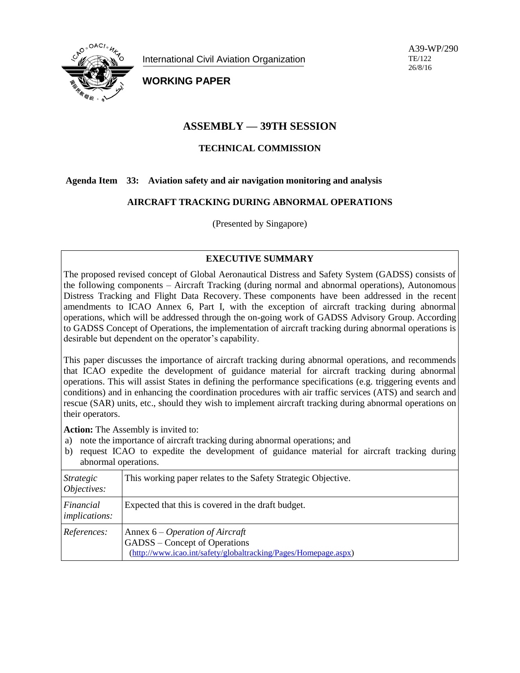

International Civil Aviation Organization

A39-WP/290 TE/122 26/8/16

**WORKING PAPER**

# **ASSEMBLY — 39TH SESSION**

# **TECHNICAL COMMISSION**

## **Agenda Item 33: Aviation safety and air navigation monitoring and analysis**

## **AIRCRAFT TRACKING DURING ABNORMAL OPERATIONS**

(Presented by Singapore)

## **EXECUTIVE SUMMARY**

The proposed revised concept of Global Aeronautical Distress and Safety System (GADSS) consists of the following components – Aircraft Tracking (during normal and abnormal operations), Autonomous Distress Tracking and Flight Data Recovery. These components have been addressed in the recent amendments to ICAO Annex 6, Part I, with the exception of aircraft tracking during abnormal operations, which will be addressed through the on-going work of GADSS Advisory Group. According to GADSS Concept of Operations, the implementation of aircraft tracking during abnormal operations is desirable but dependent on the operator's capability.

This paper discusses the importance of aircraft tracking during abnormal operations, and recommends that ICAO expedite the development of guidance material for aircraft tracking during abnormal operations. This will assist States in defining the performance specifications (e.g. triggering events and conditions) and in enhancing the coordination procedures with air traffic services (ATS) and search and rescue (SAR) units, etc., should they wish to implement aircraft tracking during abnormal operations on their operators.

**Action:** The Assembly is invited to:

- a) note the importance of aircraft tracking during abnormal operations; and
- b) request ICAO to expedite the development of guidance material for aircraft tracking during abnormal operations.

| Strategic<br>Objectives:          | This working paper relates to the Safety Strategic Objective.                                                                         |
|-----------------------------------|---------------------------------------------------------------------------------------------------------------------------------------|
| Financial<br><i>implications:</i> | Expected that this is covered in the draft budget.                                                                                    |
| References:                       | Annex $6 - Operation$ of Aircraft<br>GADSS – Concept of Operations<br>(http://www.icao.int/safety/globaltracking/Pages/Homepage.aspx) |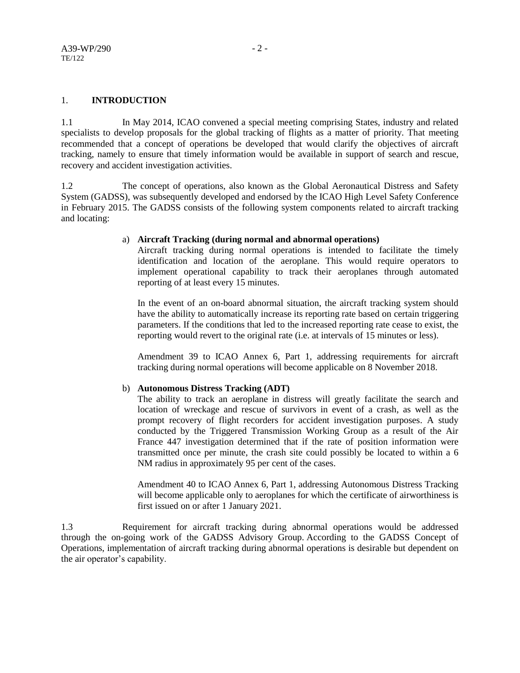#### 1. **INTRODUCTION**

1.1 In May 2014, ICAO convened a special meeting comprising States, industry and related specialists to develop proposals for the global tracking of flights as a matter of priority. That meeting recommended that a concept of operations be developed that would clarify the objectives of aircraft tracking, namely to ensure that timely information would be available in support of search and rescue, recovery and accident investigation activities.

1.2 The concept of operations, also known as the Global Aeronautical Distress and Safety System (GADSS), was subsequently developed and endorsed by the ICAO High Level Safety Conference in February 2015. The GADSS consists of the following system components related to aircraft tracking and locating:

#### a) **Aircraft Tracking (during normal and abnormal operations)**

Aircraft tracking during normal operations is intended to facilitate the timely identification and location of the aeroplane. This would require operators to implement operational capability to track their aeroplanes through automated reporting of at least every 15 minutes.

In the event of an on-board abnormal situation, the aircraft tracking system should have the ability to automatically increase its reporting rate based on certain triggering parameters. If the conditions that led to the increased reporting rate cease to exist, the reporting would revert to the original rate (i.e. at intervals of 15 minutes or less).

Amendment 39 to ICAO Annex 6, Part 1, addressing requirements for aircraft tracking during normal operations will become applicable on 8 November 2018.

## b) **Autonomous Distress Tracking (ADT)**

The ability to track an aeroplane in distress will greatly facilitate the search and location of wreckage and rescue of survivors in event of a crash, as well as the prompt recovery of flight recorders for accident investigation purposes. A study conducted by the Triggered Transmission Working Group as a result of the Air France 447 investigation determined that if the rate of position information were transmitted once per minute, the crash site could possibly be located to within a 6 NM radius in approximately 95 per cent of the cases.

Amendment 40 to ICAO Annex 6, Part 1, addressing Autonomous Distress Tracking will become applicable only to aeroplanes for which the certificate of airworthiness is first issued on or after 1 January 2021.

1.3 Requirement for aircraft tracking during abnormal operations would be addressed through the on-going work of the GADSS Advisory Group. According to the GADSS Concept of Operations, implementation of aircraft tracking during abnormal operations is desirable but dependent on the air operator's capability.